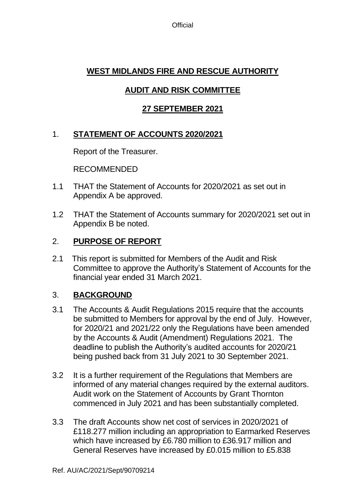**Official** 

### **WEST MIDLANDS FIRE AND RESCUE AUTHORITY**

### **AUDIT AND RISK COMMITTEE**

#### **27 SEPTEMBER 2021**

### 1. **STATEMENT OF ACCOUNTS 2020/2021**

Report of the Treasurer.

RECOMMENDED

- 1.1 THAT the Statement of Accounts for 2020/2021 as set out in Appendix A be approved.
- 1.2 THAT the Statement of Accounts summary for 2020/2021 set out in Appendix B be noted.

#### 2. **PURPOSE OF REPORT**

2.1 This report is submitted for Members of the Audit and Risk Committee to approve the Authority's Statement of Accounts for the financial year ended 31 March 2021.

#### 3. **BACKGROUND**

- 3.1 The Accounts & Audit Regulations 2015 require that the accounts be submitted to Members for approval by the end of July. However, for 2020/21 and 2021/22 only the Regulations have been amended by the Accounts & Audit (Amendment) Regulations 2021. The deadline to publish the Authority's audited accounts for 2020/21 being pushed back from 31 July 2021 to 30 September 2021.
- 3.2 It is a further requirement of the Regulations that Members are informed of any material changes required by the external auditors. Audit work on the Statement of Accounts by Grant Thornton commenced in July 2021 and has been substantially completed.
- 3.3 The draft Accounts show net cost of services in 2020/2021 of £118.277 million including an appropriation to Earmarked Reserves which have increased by £6.780 million to £36.917 million and General Reserves have increased by £0.015 million to £5.838